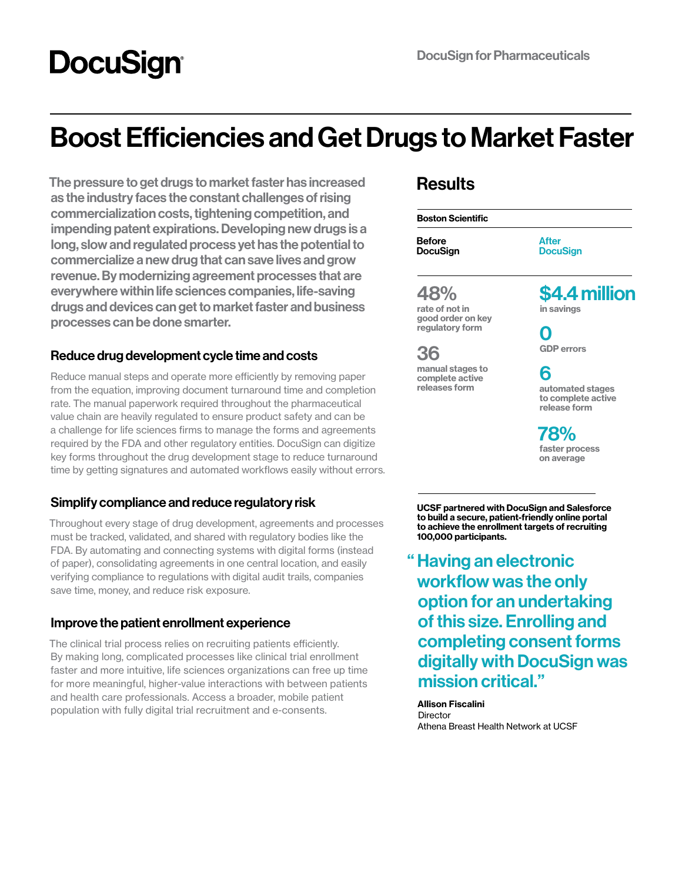# **DocuSign®**

# Boost Efficiencies and Get Drugs to Market Faster

The pressure to get drugs to market faster has increased as the industry faces the constant challenges of rising commercialization costs, tightening competition, and impending patent expirations. Developing new drugs is a long, slow and regulated process yet has the potential to commercialize a new drug that can save lives and grow revenue. By modernizing agreement processes that are everywhere within life sciences companies, life-saving drugs and devices can get to market faster and business processes can be done smarter.

### Reduce drug development cycle time and costs

Reduce manual steps and operate more efficiently by removing paper from the equation, improving document turnaround time and completion rate. The manual paperwork required throughout the pharmaceutical value chain are heavily regulated to ensure product safety and can be a challenge for life sciences firms to manage the forms and agreements required by the FDA and other regulatory entities. DocuSign can digitize key forms throughout the drug development stage to reduce turnaround time by getting signatures and automated workflows easily without errors.

### Simplify compliance and reduce regulatory risk

Throughout every stage of drug development, agreements and processes must be tracked, validated, and shared with regulatory bodies like the FDA. By automating and connecting systems with digital forms (instead of paper), consolidating agreements in one central location, and easily verifying compliance to regulations with digital audit trails, companies save time, money, and reduce risk exposure.

### Improve the patient enrollment experience

The clinical trial process relies on recruiting patients efficiently. By making long, complicated processes like clinical trial enrollment faster and more intuitive, life sciences organizations can free up time for more meaningful, higher-value interactions with between patients and health care professionals. Access a broader, mobile patient population with fully digital trial recruitment and e-consents.

### **Results**

Before Boston Scientific

DocuSign

After **DocuSign** 

### 48%

rate of not in good order on key regulatory form

36 manual stages to complete active releases form

\$4.4 million

in savings

0 GDP errors

## 6

automated stages to complete active release form

78% faster process on average

UCSF partnered with DocuSign and Salesforce to build a secure, patient-friendly online portal to achieve the enrollment targets of recruiting 100,000 participants.

" Having an electronic workflow was the only option for an undertaking of this size. Enrolling and completing consent forms digitally with DocuSign was mission critical."

Allison Fiscalini **Director** Athena Breast Health Network at UCSF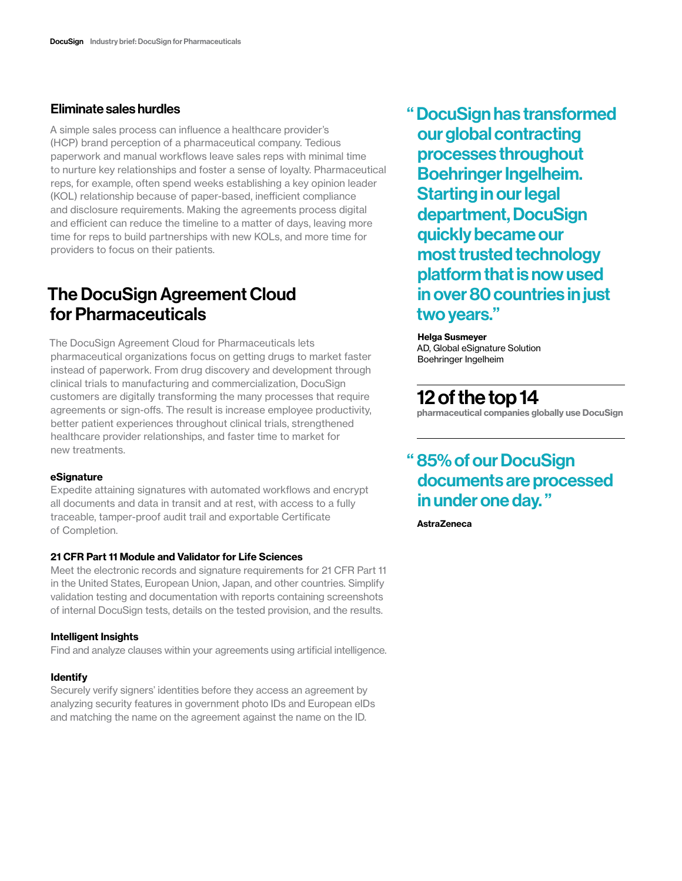A simple sales process can influence a healthcare provider's (HCP) brand perception of a pharmaceutical company. Tedious paperwork and manual workflows leave sales reps with minimal time to nurture key relationships and foster a sense of loyalty. Pharmaceutical reps, for example, often spend weeks establishing a key opinion leader (KOL) relationship because of paper-based, inefficient compliance and disclosure requirements. Making the agreements process digital and efficient can reduce the timeline to a matter of days, leaving more time for reps to build partnerships with new KOLs, and more time for providers to focus on their patients.

### The DocuSign Agreement Cloud for Pharmaceuticals

The DocuSign Agreement Cloud for Pharmaceuticals lets pharmaceutical organizations focus on getting drugs to market faster instead of paperwork. From drug discovery and development through clinical trials to manufacturing and commercialization, DocuSign customers are digitally transforming the many processes that require agreements or sign-offs. The result is increase employee productivity, better patient experiences throughout clinical trials, strengthened healthcare provider relationships, and faster time to market for new treatments.

### eSignature

Expedite attaining signatures with automated workflows and encrypt all documents and data in transit and at rest, with access to a fully traceable, tamper-proof audit trail and exportable Certificate of Completion.

### 21 CFR Part 11 Module and Validator for Life Sciences

Meet the electronic records and signature requirements for 21 CFR Part 11 in the United States, European Union, Japan, and other countries. Simplify validation testing and documentation with reports containing screenshots of internal DocuSign tests, details on the tested provision, and the results.

### Intelligent Insights

Find and analyze clauses within your agreements using artificial intelligence.

### Identify

Securely verify signers' identities before they access an agreement by analyzing security features in government photo IDs and European eIDs and matching the name on the agreement against the name on the ID.

Eliminate sales hurdles " DocuSign has transformed our global contracting processes throughout Boehringer Ingelheim. Starting in our legal department, DocuSign quickly became our most trusted technology platform that is now used in over 80 countries in just two years."

### Helga Susmeyer

AD, Global eSignature Solution Boehringer Ingelheim

### 12 of the top 14

pharmaceutical companies globally use DocuSign

### " 85% of our DocuSign documents are processed in under one day. "

**AstraZeneca**